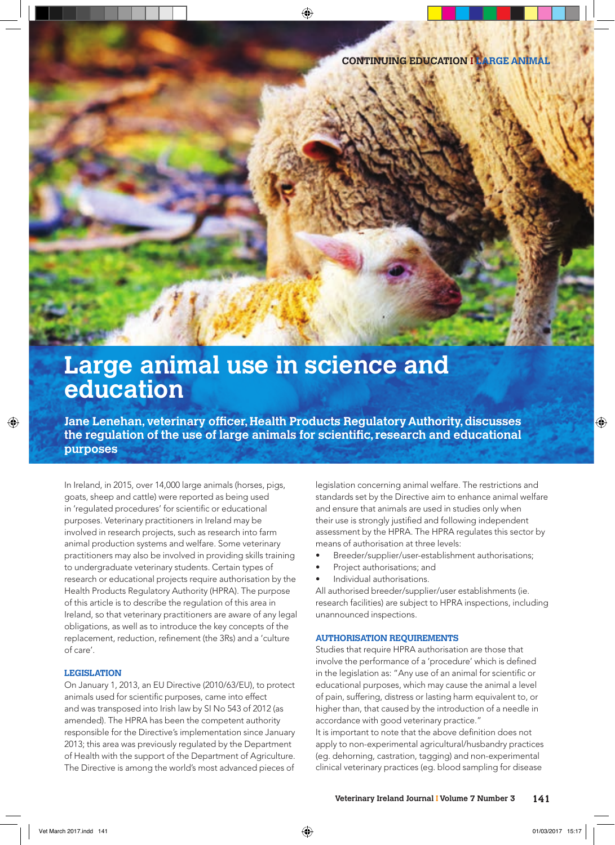# **Large animal use in science and education**

**Jane Lenehan, veterinary officer, Health Products Regulatory Authority, discusses** the regulation of the use of large animals for scientific, research and educational **purposes**

In Ireland, in 2015, over 14,000 large animals (horses, pigs, goats, sheep and cattle) were reported as being used in 'regulated procedures' for scientific or educational purposes. Veterinary practitioners in Ireland may be involved in research projects, such as research into farm animal production systems and welfare. Some veterinary practitioners may also be involved in providing skills training to undergraduate veterinary students. Certain types of research or educational projects require authorisation by the Health Products Regulatory Authority (HPRA). The purpose of this article is to describe the regulation of this area in Ireland, so that veterinary practitioners are aware of any legal obligations, as well as to introduce the key concepts of the replacement, reduction, refinement (the 3Rs) and a 'culture of care'.

### **LEGISLATION**

On January 1, 2013, an EU Directive (2010/63/EU), to protect animals used for scientific purposes, came into effect and was transposed into Irish law by SI No 543 of 2012 (as amended). The HPRA has been the competent authority responsible for the Directive's implementation since January 2013; this area was previously regulated by the Department of Health with the support of the Department of Agriculture. The Directive is among the world's most advanced pieces of

legislation concerning animal welfare. The restrictions and standards set by the Directive aim to enhance animal welfare and ensure that animals are used in studies only when their use is strongly justified and following independent assessment by the HPRA. The HPRA regulates this sector by means of authorisation at three levels:

- Breeder/supplier/user-establishment authorisations;
- Project authorisations; and
- Individual authorisations.

All authorised breeder/supplier/user establishments (ie. research facilities) are subject to HPRA inspections, including unannounced inspections.

### **AUTHORISATION REQUIREMENTS**

Studies that require HPRA authorisation are those that involve the performance of a 'procedure' which is defined in the legislation as: "Any use of an animal for scientific or educational purposes, which may cause the animal a level of pain, suffering, distress or lasting harm equivalent to, or higher than, that caused by the introduction of a needle in accordance with good veterinary practice."

It is important to note that the above definition does not apply to non-experimental agricultural/husbandry practices (eg. dehorning, castration, tagging) and non-experimental clinical veterinary practices (eg. blood sampling for disease